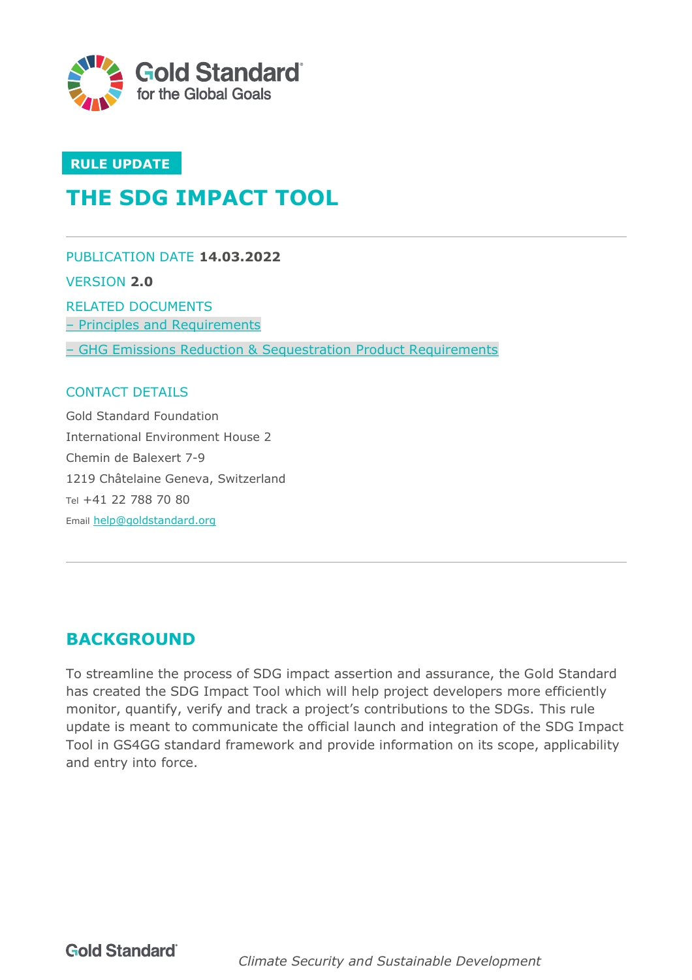

### **RULE UPDATE**

# **THE SDG IMPACT TOOL**

PUBLICATION DATE **14.03.2022** VERSION **2.0** RELATED DOCUMENTS – [Principles and Requirements](https://globalgoals.goldstandard.org/standards/101_V1.2_PAR_Principles-Requirements.pdf) – [GHG Emissions Reduction & Sequestration Product Requirements](https://globalgoals.goldstandard.org/501-pr-ghg-emissions-reductions-sequestration/)

#### CONTACT DETAILS

Gold Standard Foundation International Environment House 2 Chemin de Balexert 7-9 1219 Châtelaine Geneva, Switzerland Tel +41 22 788 70 80 Email [help@goldstandard.org](mailto:help@goldstandard.org)

# **BACKGROUND**

To streamline the process of SDG impact assertion and assurance, the Gold Standard has created the SDG Impact Tool which will help project developers more efficiently monitor, quantify, verify and track a project's contributions to the SDGs. This rule update is meant to communicate the official launch and integration of the SDG Impact Tool in GS4GG standard framework and provide information on its scope, applicability and entry into force.

**Gold Standard**®

*Climate Security and Sustainable Development*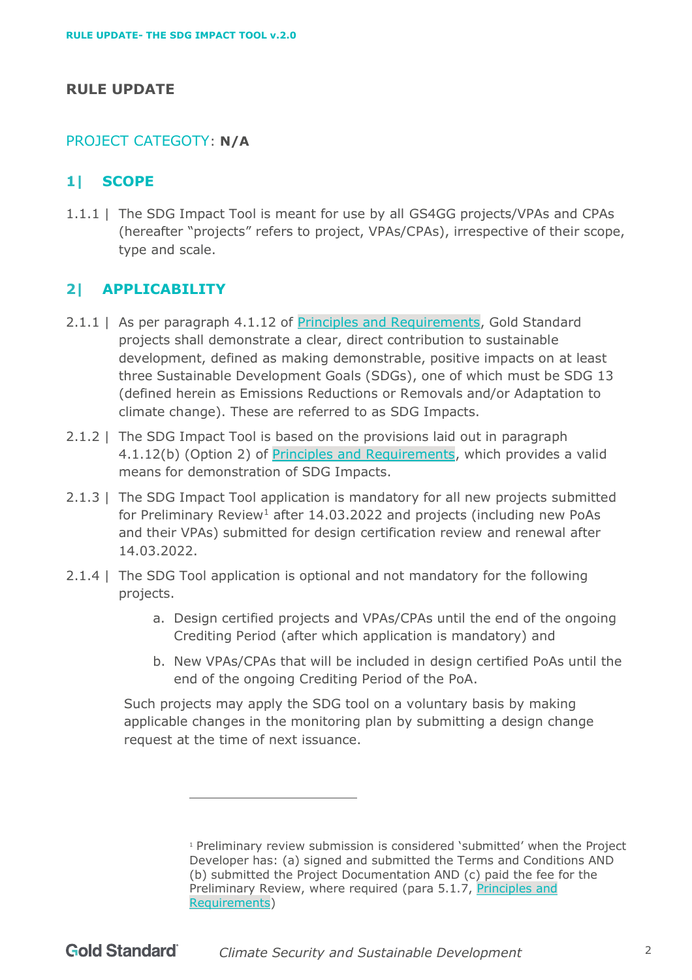#### **RULE UPDATE**

#### PROJECT CATEGOTY: **N/A**

#### **1| SCOPE**

1.1.1 | The SDG Impact Tool is meant for use by all GS4GG projects/VPAs and CPAs (hereafter "projects" refers to project, VPAs/CPAs), irrespective of their scope, type and scale.

#### **2| APPLICABILITY**

- 2.1.1 | As per paragraph 4.1.12 of [Principles and Requirements,](https://globalgoals.goldstandard.org/101-par-principles-requirements/) Gold Standard projects shall demonstrate a clear, direct contribution to sustainable development, defined as making demonstrable, positive impacts on at least three Sustainable Development Goals (SDGs), one of which must be SDG 13 (defined herein as Emissions Reductions or Removals and/or Adaptation to climate change). These are referred to as SDG Impacts.
- 2.1.2 | The SDG Impact Tool is based on the provisions laid out in paragraph 4.1.12(b) (Option 2) of [Principles and Requirements,](https://globalgoals.goldstandard.org/101-par-principles-requirements/) which provides a valid means for demonstration of SDG Impacts.
- 2.1.3 | The SDG Impact Tool application is mandatory for all new projects submitted for Preliminary Review<sup>1</sup> after 14.03.2022 and projects (including new PoAs and their VPAs) submitted for design certification review and renewal after 14.03.2022.
- 2.1.4 | The SDG Tool application is optional and not mandatory for the following projects.
	- a. Design certified projects and VPAs/CPAs until the end of the ongoing Crediting Period (after which application is mandatory) and
	- b. New VPAs/CPAs that will be included in design certified PoAs until the end of the ongoing Crediting Period of the PoA.

Such projects may apply the SDG tool on a voluntary basis by making applicable changes in the monitoring plan by submitting a design change request at the time of next issuance.

<sup>&</sup>lt;sup>1</sup> Preliminary review submission is considered 'submitted' when the Project Developer has: (a) signed and submitted the Terms and Conditions AND (b) submitted the Project Documentation AND (c) paid the fee for the Preliminary Review, where required (para 5.1.7, [Principles and](https://globalgoals.goldstandard.org/standards/101_V1.2_PAR_Principles-Requirements.pdf)  [Requirements\)](https://globalgoals.goldstandard.org/standards/101_V1.2_PAR_Principles-Requirements.pdf)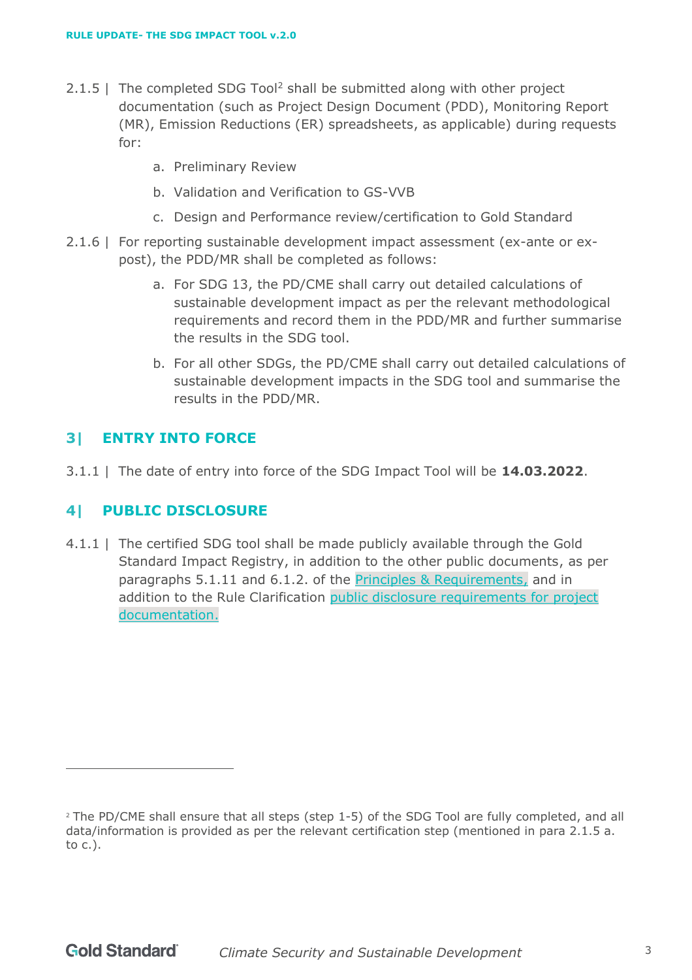- 2.1.5 | The completed SDG Tool<sup>2</sup> shall be submitted along with other project documentation (such as Project Design Document (PDD), Monitoring Report (MR), Emission Reductions (ER) spreadsheets, as applicable) during requests for:
	- a. Preliminary Review
	- b. Validation and Verification to GS-VVB
	- c. Design and Performance review/certification to Gold Standard
- 2.1.6 | For reporting sustainable development impact assessment (ex-ante or expost), the PDD/MR shall be completed as follows:
	- a. For SDG 13, the PD/CME shall carry out detailed calculations of sustainable development impact as per the relevant methodological requirements and record them in the PDD/MR and further summarise the results in the SDG tool.
	- b. For all other SDGs, the PD/CME shall carry out detailed calculations of sustainable development impacts in the SDG tool and summarise the results in the PDD/MR.

## **3| ENTRY INTO FORCE**

3.1.1 | The date of entry into force of the SDG Impact Tool will be **14.03.2022**.

#### **4| PUBLIC DISCLOSURE**

4.1.1 | The certified SDG tool shall be made publicly available through the Gold Standard Impact Registry, in addition to the other public documents, as per paragraphs 5.1.11 and 6.1.2. of the [Principles & Requirements,](https://globalgoals.goldstandard.org/101-par-principles-requirements/) and in addition to the Rule Clarification [public disclosure requirements for project](https://globalgoals.goldstandard.org/rc-2021-public-disclosure-requirements-for-project-documentation/)  [documentation.](https://globalgoals.goldstandard.org/rc-2021-public-disclosure-requirements-for-project-documentation/)

<sup>&</sup>lt;sup>2</sup> The PD/CME shall ensure that all steps (step 1-5) of the SDG Tool are fully completed, and all data/information is provided as per the relevant certification step (mentioned in para 2.1.5 a. to c.).